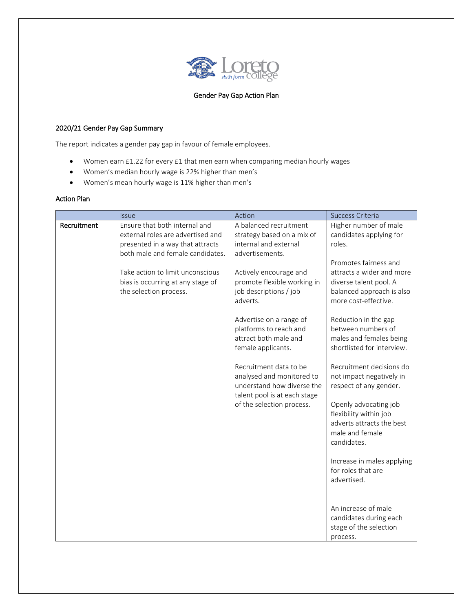

## Gender Pay Gap Action Plan

## 2020/21 Gender Pay Gap Summary

The report indicates a gender pay gap in favour of female employees.

- Women earn £1.22 for every £1 that men earn when comparing median hourly wages
- Women's median hourly wage is 22% higher than men's
- Women's mean hourly wage is 11% higher than men's

## Action Plan

|             | <i><u><b>Issue</b></u></i>                                                                                                                 | Action                                                                                                            | Success Criteria                                                                                                                  |
|-------------|--------------------------------------------------------------------------------------------------------------------------------------------|-------------------------------------------------------------------------------------------------------------------|-----------------------------------------------------------------------------------------------------------------------------------|
| Recruitment | Ensure that both internal and<br>external roles are advertised and<br>presented in a way that attracts<br>both male and female candidates. | A balanced recruitment<br>strategy based on a mix of<br>internal and external<br>advertisements.                  | Higher number of male<br>candidates applying for<br>roles.                                                                        |
|             | Take action to limit unconscious<br>bias is occurring at any stage of<br>the selection process.                                            | Actively encourage and<br>promote flexible working in<br>job descriptions / job<br>adverts.                       | Promotes fairness and<br>attracts a wider and more<br>diverse talent pool. A<br>balanced approach is also<br>more cost-effective. |
|             |                                                                                                                                            | Advertise on a range of<br>platforms to reach and<br>attract both male and<br>female applicants.                  | Reduction in the gap<br>between numbers of<br>males and females being<br>shortlisted for interview.                               |
|             |                                                                                                                                            | Recruitment data to be<br>analysed and monitored to<br>understand how diverse the<br>talent pool is at each stage | Recruitment decisions do<br>not impact negatively in<br>respect of any gender.                                                    |
|             |                                                                                                                                            | of the selection process.                                                                                         | Openly advocating job<br>flexibility within job<br>adverts attracts the best<br>male and female<br>candidates.                    |
|             |                                                                                                                                            |                                                                                                                   | Increase in males applying<br>for roles that are<br>advertised.                                                                   |
|             |                                                                                                                                            |                                                                                                                   | An increase of male<br>candidates during each<br>stage of the selection<br>process.                                               |